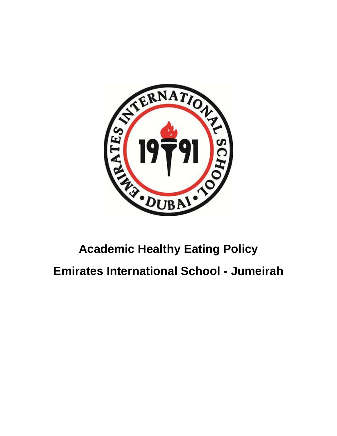

# **Academic Healthy Eating Policy Emirates International School - Jumeirah**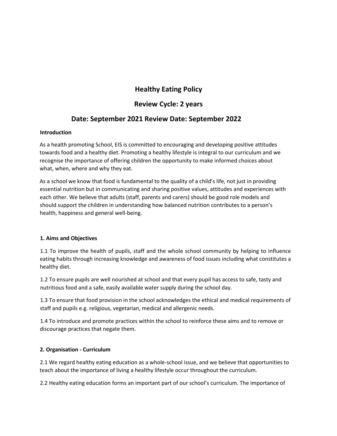# **Healthy Eating Policy**

# **Review Cycle: 2 years**

# **Date: September 2021 Review Date: September 2022**

#### **Introduction**

As a health promoting School, EIS is committed to encouraging and developing positive attitudes towards food and a healthy diet. Promoting a healthy lifestyle is integral to our curriculum and we recognise the importance of offering children the opportunity to make informed choices about what, when, where and why they eat.

As a school we know that food is fundamental to the quality of a child's life, not just in providing essential nutrition but in communicating and sharing positive values, attitudes and experiences with each other. We believe that adults (staff, parents and carers) should be good role models and should support the children in understanding how balanced nutrition contributes to a person's health, happiness and general well-being.

#### **1. Aims and Objectives**

1.1 To improve the health of pupils, staff and the whole school community by helping to influence eating habits through increasing knowledge and awareness of food issues including what constitutes a healthy diet.

1.2 To ensure pupils are well nourished at school and that every pupil has access to safe, tasty and nutritious food and a safe, easily available water supply during the school day.

1.3 To ensure that food provision in the school acknowledges the ethical and medical requirements of staff and pupils e.g. religious, vegetarian, medical and allergenic needs.

1.4 To introduce and promote practices within the school to reinforce these aims and to remove or discourage practices that negate them.

## **2. Organisation - Curriculum**

2.1 We regard healthy eating education as a whole-school issue, and we believe that opportunities to teach about the importance of living a healthy lifestyle occur throughout the curriculum.

2.2 Healthy eating education forms an important part of our school's curriculum. The importance of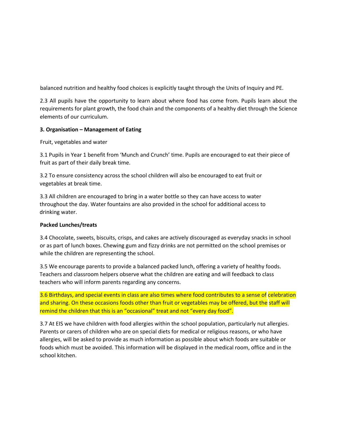balanced nutrition and healthy food choices is explicitly taught through the Units of Inquiry and PE.

2.3 All pupils have the opportunity to learn about where food has come from. Pupils learn about the requirements for plant growth, the food chain and the components of a healthy diet through the Science elements of our curriculum.

### **3. Organisation – Management of Eating**

Fruit, vegetables and water

3.1 Pupils in Year 1 benefit from 'Munch and Crunch' time. Pupils are encouraged to eat their piece of fruit as part of their daily break time.

3.2 To ensure consistency across the school children will also be encouraged to eat fruit or vegetables at break time.

3.3 All children are encouraged to bring in a water bottle so they can have access to water throughout the day. Water fountains are also provided in the school for additional access to drinking water.

#### **Packed Lunches/treats**

3.4 Chocolate, sweets, biscuits, crisps, and cakes are actively discouraged as everyday snacks in school or as part of lunch boxes. Chewing gum and fizzy drinks are not permitted on the school premises or while the children are representing the school.

3.5 We encourage parents to provide a balanced packed lunch, offering a variety of healthy foods. Teachers and classroom helpers observe what the children are eating and will feedback to class teachers who will inform parents regarding any concerns.

3.6 Birthdays, and special events in class are also times where food contributes to a sense of celebration and sharing. On these occasions foods other than fruit or vegetables may be offered, but the staff will remind the children that this is an "occasional" treat and not "every day food".

3.7 At EIS we have children with food allergies within the school population, particularly nut allergies. Parents or carers of children who are on special diets for medical or religious reasons, or who have allergies, will be asked to provide as much information as possible about which foods are suitable or foods which must be avoided. This information will be displayed in the medical room, office and in the school kitchen.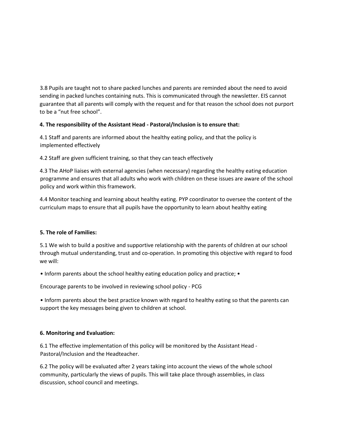3.8 Pupils are taught not to share packed lunches and parents are reminded about the need to avoid sending in packed lunches containing nuts. This is communicated through the newsletter. EIS cannot guarantee that all parents will comply with the request and for that reason the school does not purport to be a "nut free school".

## **4. The responsibility of the Assistant Head - Pastoral/Inclusion is to ensure that:**

4.1 Staff and parents are informed about the healthy eating policy, and that the policy is implemented effectively

4.2 Staff are given sufficient training, so that they can teach effectively

4.3 The AHoP liaises with external agencies (when necessary) regarding the healthy eating education programme and ensures that all adults who work with children on these issues are aware of the school policy and work within this framework.

4.4 Monitor teaching and learning about healthy eating. PYP coordinator to oversee the content of the curriculum maps to ensure that all pupils have the opportunity to learn about healthy eating

## **5. The role of Families:**

5.1 We wish to build a positive and supportive relationship with the parents of children at our school through mutual understanding, trust and co-operation. In promoting this objective with regard to food we will:

• Inform parents about the school healthy eating education policy and practice; •

Encourage parents to be involved in reviewing school policy - PCG

• Inform parents about the best practice known with regard to healthy eating so that the parents can support the key messages being given to children at school.

#### **6. Monitoring and Evaluation:**

6.1 The effective implementation of this policy will be monitored by the Assistant Head - Pastoral/Inclusion and the Headteacher.

6.2 The policy will be evaluated after 2 years taking into account the views of the whole school community, particularly the views of pupils. This will take place through assemblies, in class discussion, school council and meetings.